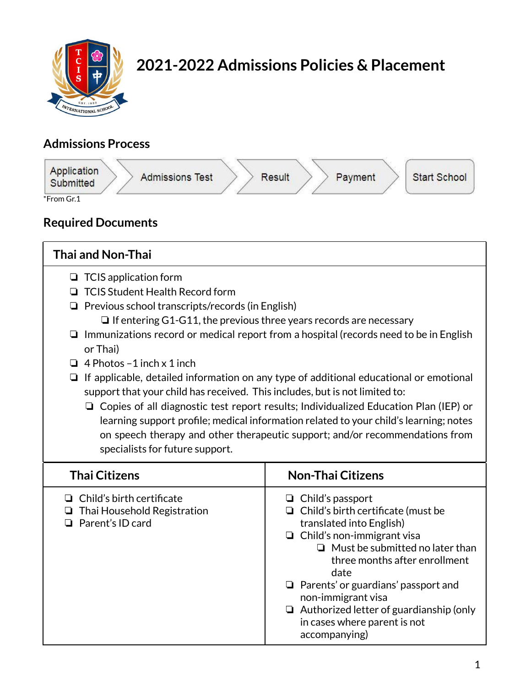

# **2021-2022 Admissions Policies & Placement**

# **Admissions Process**



# **Required Documents**

| <b>Thai and Non-Thai</b>                                                                                                                                                                                                                                                                                                                                                                                                                                                                                                                                                                                                                                                                                                                                                                                                                                             |                                                                                                                                                                                                                                                                                              |  |
|----------------------------------------------------------------------------------------------------------------------------------------------------------------------------------------------------------------------------------------------------------------------------------------------------------------------------------------------------------------------------------------------------------------------------------------------------------------------------------------------------------------------------------------------------------------------------------------------------------------------------------------------------------------------------------------------------------------------------------------------------------------------------------------------------------------------------------------------------------------------|----------------------------------------------------------------------------------------------------------------------------------------------------------------------------------------------------------------------------------------------------------------------------------------------|--|
| $\Box$ TCIS application form<br><b>TCIS Student Health Record form</b><br>$\Box$<br>$\Box$ Previous school transcripts/records (in English)<br>$\Box$ If entering G1-G11, the previous three years records are necessary<br>$\Box$ Immunizations record or medical report from a hospital (records need to be in English<br>or Thai)<br>$\Box$ 4 Photos - 1 inch x 1 inch<br>$\Box$ If applicable, detailed information on any type of additional educational or emotional<br>support that your child has received. This includes, but is not limited to:<br>$\Box$ Copies of all diagnostic test report results; Individualized Education Plan (IEP) or<br>learning support profile; medical information related to your child's learning; notes<br>on speech therapy and other therapeutic support; and/or recommendations from<br>specialists for future support. |                                                                                                                                                                                                                                                                                              |  |
| <b>Thai Citizens</b>                                                                                                                                                                                                                                                                                                                                                                                                                                                                                                                                                                                                                                                                                                                                                                                                                                                 | <b>Non-Thai Citizens</b>                                                                                                                                                                                                                                                                     |  |
| $\Box$ Child's birth certificate<br>$\Box$ Thai Household Registration<br>$\Box$ Parent's ID card                                                                                                                                                                                                                                                                                                                                                                                                                                                                                                                                                                                                                                                                                                                                                                    | $\Box$ Child's passport<br>$\Box$ Child's birth certificate (must be<br>translated into English)<br>$\Box$ Child's non-immigrant visa<br>$\Box$ Must be submitted no later than<br>three months after enrollment<br>date<br>$\Box$ Parents' or guardians' passport and<br>non-immigrant visa |  |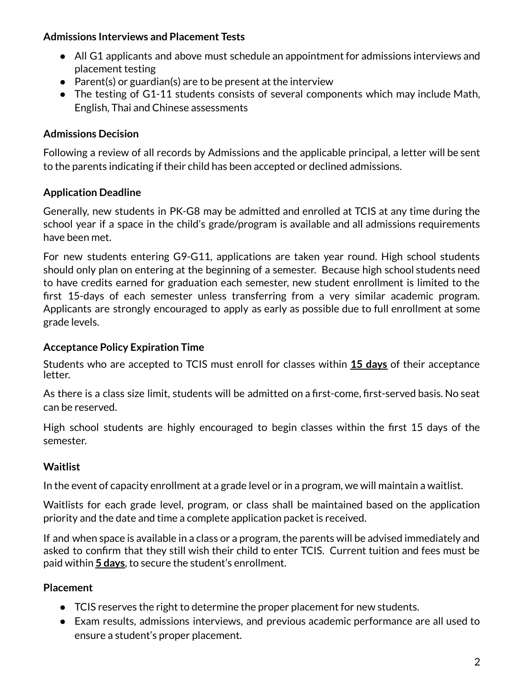#### **Admissions Interviews and Placement Tests**

- All G1 applicants and above must schedule an appointment for admissions interviews and placement testing
- $\bullet$  Parent(s) or guardian(s) are to be present at the interview
- The testing of G1-11 students consists of several components which may include Math, English, Thai and Chinese assessments

# **Admissions Decision**

Following a review of all records by Admissions and the applicable principal, a letter will be sent to the parents indicating if their child has been accepted or declined admissions.

# **Application Deadline**

Generally, new students in PK-G8 may be admitted and enrolled at TCIS at any time during the school year if a space in the child's grade/program is available and all admissions requirements have been met.

For new students entering G9-G11, applications are taken year round. High school students should only plan on entering at the beginning of a semester. Because high school students need to have credits earned for graduation each semester, new student enrollment is limited to the first 15-days of each semester unless transferring from a very similar academic program. Applicants are strongly encouraged to apply as early as possible due to full enrollment at some grade levels.

### **Acceptance Policy Expiration Time**

Students who are accepted to TCIS must enroll for classes within **15 days** of their acceptance letter.

As there is a class size limit, students will be admitted on a first-come, first-served basis. No seat can be reserved.

High school students are highly encouraged to begin classes within the first 15 days of the semester.

#### **Waitlist**

In the event of capacity enrollment at a grade level or in a program, we will maintain a waitlist.

Waitlists for each grade level, program, or class shall be maintained based on the application priority and the date and time a complete application packet is received.

If and when space is available in a class or a program, the parents will be advised immediately and asked to confirm that they still wish their child to enter TCIS. Current tuition and fees must be paid within **5 days**, to secure the student's enrollment.

# **Placement**

- TCIS reserves the right to determine the proper placement for new students.
- Exam results, admissions interviews, and previous academic performance are all used to ensure a student's proper placement.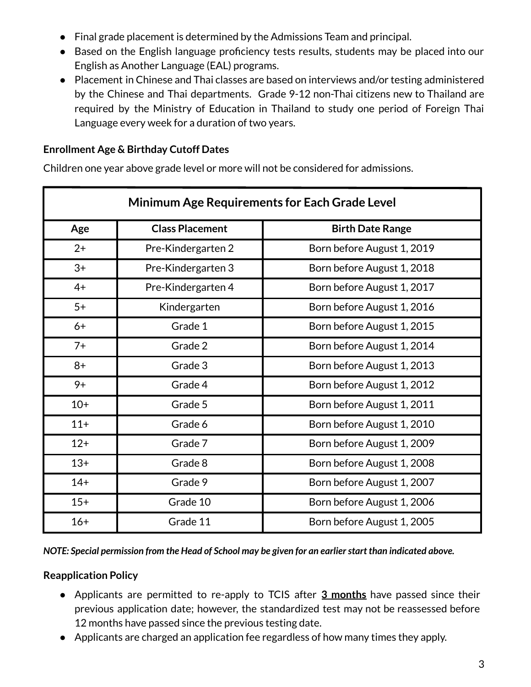- Final grade placement is determined by the Admissions Team and principal.
- Based on the English language proficiency tests results, students may be placed into our English as Another Language (EAL) programs.
- Placement in Chinese and Thai classes are based on interviews and/or testing administered by the Chinese and Thai departments. Grade 9-12 non-Thai citizens new to Thailand are required by the Ministry of Education in Thailand to study one period of Foreign Thai Language every week for a duration of two years.

#### **Enrollment Age & Birthday Cutoff Dates**

Children one year above grade level or more will not be considered for admissions.

| <b>Minimum Age Requirements for Each Grade Level</b> |                        |                            |  |
|------------------------------------------------------|------------------------|----------------------------|--|
| Age                                                  | <b>Class Placement</b> | <b>Birth Date Range</b>    |  |
| $2+$                                                 | Pre-Kindergarten 2     | Born before August 1, 2019 |  |
| $3+$                                                 | Pre-Kindergarten 3     | Born before August 1, 2018 |  |
| $4+$                                                 | Pre-Kindergarten 4     | Born before August 1, 2017 |  |
| $5+$                                                 | Kindergarten           | Born before August 1, 2016 |  |
| $6+$                                                 | Grade 1                | Born before August 1, 2015 |  |
| $7+$                                                 | Grade 2                | Born before August 1, 2014 |  |
| $8+$                                                 | Grade 3                | Born before August 1, 2013 |  |
| $9+$                                                 | Grade 4                | Born before August 1, 2012 |  |
| $10+$                                                | Grade 5                | Born before August 1, 2011 |  |
| $11+$                                                | Grade 6                | Born before August 1, 2010 |  |
| $12+$                                                | Grade 7                | Born before August 1, 2009 |  |
| $13+$                                                | Grade 8                | Born before August 1, 2008 |  |
| $14+$                                                | Grade 9                | Born before August 1, 2007 |  |
| $15+$                                                | Grade 10               | Born before August 1, 2006 |  |
| $16+$                                                | Grade 11               | Born before August 1, 2005 |  |

*NOTE: Special permission from the Head of School may be given for an earlierstart than indicated above.*

#### **Reapplication Policy**

- Applicants are permitted to re-apply to TCIS after **3 months** have passed since their previous application date; however, the standardized test may not be reassessed before 12 months have passed since the previous testing date.
- Applicants are charged an application fee regardless of how many times they apply.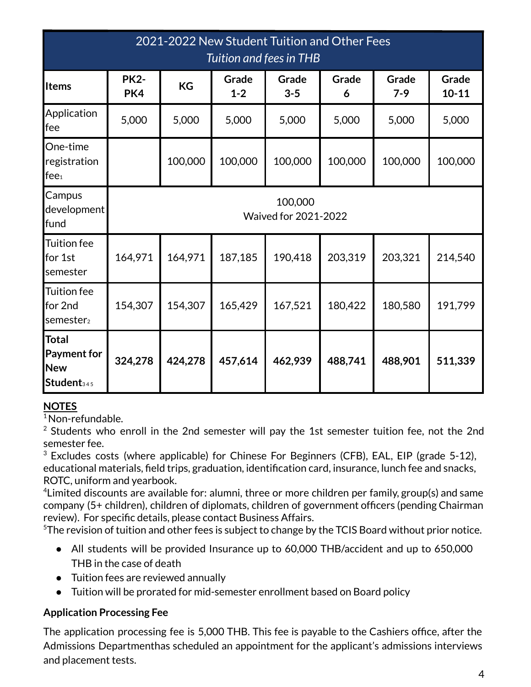| 2021-2022 New Student Tuition and Other Fees<br>Tuition and fees in THB    |                                        |           |                  |                  |            |                |                    |
|----------------------------------------------------------------------------|----------------------------------------|-----------|------------------|------------------|------------|----------------|--------------------|
| <b>Items</b>                                                               | <b>PK2-</b><br>PK4                     | <b>KG</b> | Grade<br>$1 - 2$ | Grade<br>$3 - 5$ | Grade<br>6 | Grade<br>$7-9$ | Grade<br>$10 - 11$ |
| Application<br>fee                                                         | 5,000                                  | 5,000     | 5,000            | 5,000            | 5,000      | 5,000          | 5,000              |
| One-time<br>registration<br>fee <sub>1</sub>                               |                                        | 100,000   | 100,000          | 100,000          | 100,000    | 100,000        | 100,000            |
| Campus<br>development<br>fund                                              | 100,000<br><b>Waived for 2021-2022</b> |           |                  |                  |            |                |                    |
| <b>Tuition fee</b><br>for 1st<br>semester                                  | 164,971                                | 164,971   | 187,185          | 190,418          | 203,319    | 203,321        | 214,540            |
| <b>Tuition fee</b><br>for 2nd<br>semester <sub>2</sub>                     | 154,307                                | 154,307   | 165,429          | 167,521          | 180,422    | 180,580        | 191,799            |
| <b>Total</b><br><b>Payment for</b><br><b>New</b><br>Student <sub>345</sub> | 324,278                                | 424,278   | 457,614          | 462,939          | 488,741    | 488,901        | 511,339            |

# **NOTES**

<sup>1</sup>Non-refundable.

 $2$  Students who enroll in the 2nd semester will pay the 1st semester tuition fee, not the 2nd semester fee.

 $3$  Excludes costs (where applicable) for Chinese For Beginners (CFB), EAL, EIP (grade 5-12), educational materials, field trips, graduation, identification card, insurance, lunch fee and snacks, ROTC, uniform and yearbook.

<sup>4</sup> Limited discounts are available for: alumni, three or more children per family, group(s) and same company (5+ children), children of diplomats, children of government officers (pending Chairman review). For specific details, please contact Business Affairs.

 $5$ The revision of tuition and other fees is subject to change by the TCIS Board without prior notice.

- All students will be provided Insurance up to 60,000 THB/accident and up to 650,000 THB in the case of death
- Tuition fees are reviewed annually
- Tuition will be prorated for mid-semester enrollment based on Board policy

#### **Application Processing Fee**

The application processing fee is 5,000 THB. This fee is payable to the Cashiers office, after the Admissions Departmenthas scheduled an appointment for the applicant's admissions interviews and placement tests.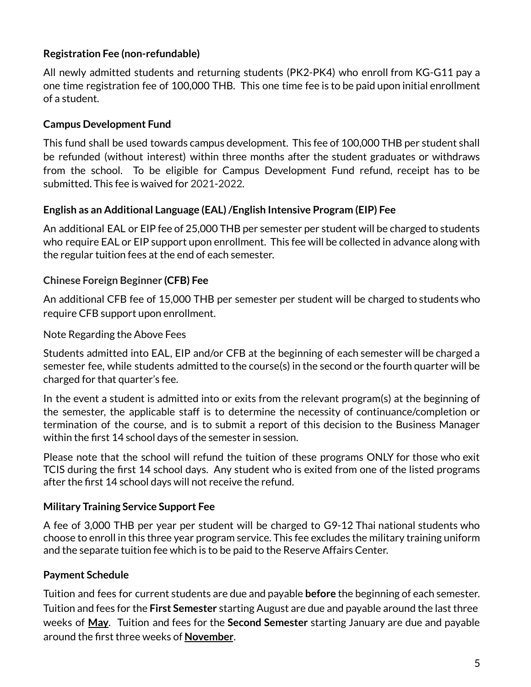# **Registration Fee (non-refundable)**

All newly admitted students and returning students (PK2-PK4) who enroll from KG-G11 pay a one time registration fee of 100,000 THB. This one time fee is to be paid upon initial enrollment of a student.

#### **Campus Development Fund**

This fund shall be used towards campus development. This fee of 100,000 THB per student shall be refunded (without interest) within three months after the student graduates or withdraws from the school. To be eligible for Campus Development Fund refund, receipt has to be submitted. This fee is waived for 2021-2022.

#### **English as an Additional Language (EAL)/English Intensive Program (EIP) Fee**

An additional EAL or EIP fee of 25,000 THB per semester per student will be charged to students who require EAL or EIP support upon enrollment. This fee will be collected in advance along with the regular tuition fees at the end of each semester.

#### **Chinese Foreign Beginner (CFB) Fee**

An additional CFB fee of 15,000 THB per semester per student will be charged to students who require CFB support upon enrollment.

#### Note Regarding the Above Fees

Students admitted into EAL, EIP and/or CFB at the beginning of each semester will be charged a semester fee, while students admitted to the course(s) in the second or the fourth quarter will be charged for that quarter's fee.

In the event a student is admitted into or exits from the relevant program(s) at the beginning of the semester, the applicable staff is to determine the necessity of continuance/completion or termination of the course, and is to submit a report of this decision to the Business Manager within the first 14 school days of the semester in session.

Please note that the school will refund the tuition of these programs ONLY for those who exit TCIS during the first 14 school days. Any student who is exited from one of the listed programs after the first 14 school days will not receive the refund.

#### **Military Training Service Support Fee**

A fee of 3,000 THB per year per student will be charged to G9-12 Thai national students who choose to enroll in this three year program service. This fee excludes the military training uniform and the separate tuition fee which is to be paid to the Reserve Affairs Center.

#### **Payment Schedule**

Tuition and fees for current students are due and payable **before** the beginning of each semester. Tuition and fees for the **First Semester** starting August are due and payable around the last three weeks of **May**. Tuition and fees for the **Second Semester** starting January are due and payable around the first three weeks of **November**.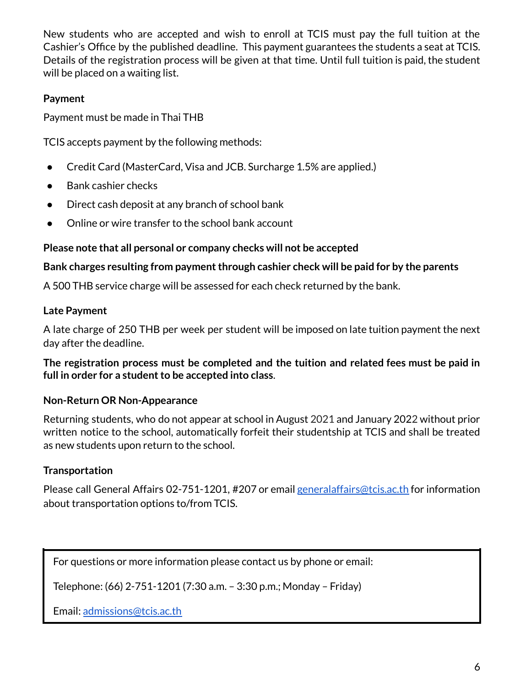New students who are accepted and wish to enroll at TCIS must pay the full tuition at the Cashier's Office by the published deadline. This payment guarantees the students a seat at TCIS. Details of the registration process will be given at that time. Until full tuition is paid, the student will be placed on a waiting list.

#### **Payment**

Payment must be made in Thai THB

TCIS accepts payment by the following methods:

- Credit Card (MasterCard, Visa and JCB. Surcharge 1.5% are applied.)
- **Bank cashier checks**
- Direct cash deposit at any branch of school bank
- Online or wire transfer to the school bank account

#### **Please note that all personal or company checks will not be accepted**

#### **Bank charges resulting from paymentthrough cashier check will be paid for by the parents**

A 500 THB service charge will be assessed for each check returned by the bank.

#### **Late Payment**

A late charge of 250 THB per week per student will be imposed on late tuition payment the next day after the deadline.

**The registration process must be completed and the tuition and related fees must be paid in full in order for a studentto be accepted into class**.

#### **Non-Return OR Non-Appearance**

Returning students, who do not appear at school in August 2021 and January 2022 without prior written notice to the school, automatically forfeit their studentship at TCIS and shall be treated as new students upon return to the school.

#### **Transportation**

Please call General Affairs 02-751-1201, #207 or email general affairs@tcis.ac.th for information about transportation options to/from TCIS.

For questions or more information please contact us by phone or email:

Telephone: (66) 2-751-1201 (7:30 a.m. – 3:30 p.m.; Monday – Friday)

Email: [admissions@tcis.ac.th](mailto:admissions@tcis.ac.th)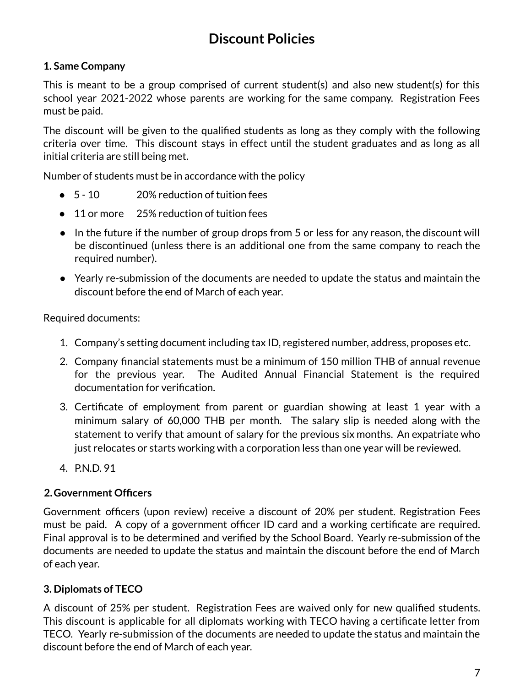# **Discount Policies**

# **1. Same Company**

This is meant to be a group comprised of current student(s) and also new student(s) for this school year 2021-2022 whose parents are working for the same company. Registration Fees must be paid.

The discount will be given to the qualified students as long as they comply with the following criteria over time. This discount stays in effect until the student graduates and as long as all initial criteria are still being met.

Number of students must be in accordance with the policy

- 5 10 20% reduction of tuition fees
- 11 or more 25% reduction of tuition fees
- In the future if the number of group drops from 5 or less for any reason, the discount will be discontinued (unless there is an additional one from the same company to reach the required number).
- Yearly re-submission of the documents are needed to update the status and maintain the discount before the end of March of each year.

Required documents:

- 1. Company's setting document including tax ID, registered number, address, proposes etc.
- 2. Company financial statements must be a minimum of 150 million THB of annual revenue for the previous year. The Audited Annual Financial Statement is the required documentation for verification.
- 3. Certificate of employment from parent or guardian showing at least 1 year with a minimum salary of 60,000 THB per month. The salary slip is needed along with the statement to verify that amount of salary for the previous six months. An expatriate who just relocates or starts working with a corporation less than one year will be reviewed.
- 4. P.N.D. 91

#### **2.Government Officers**

Government officers (upon review) receive a discount of 20% per student. Registration Fees must be paid. A copy of a government officer ID card and a working certificate are required. Final approval is to be determined and verified by the School Board. Yearly re-submission of the documents are needed to update the status and maintain the discount before the end of March of each year.

# **3. Diplomats of TECO**

A discount of 25% per student. Registration Fees are waived only for new qualified students. This discount is applicable for all diplomats working with TECO having a certificate letter from TECO. Yearly re-submission of the documents are needed to update the status and maintain the discount before the end of March of each year.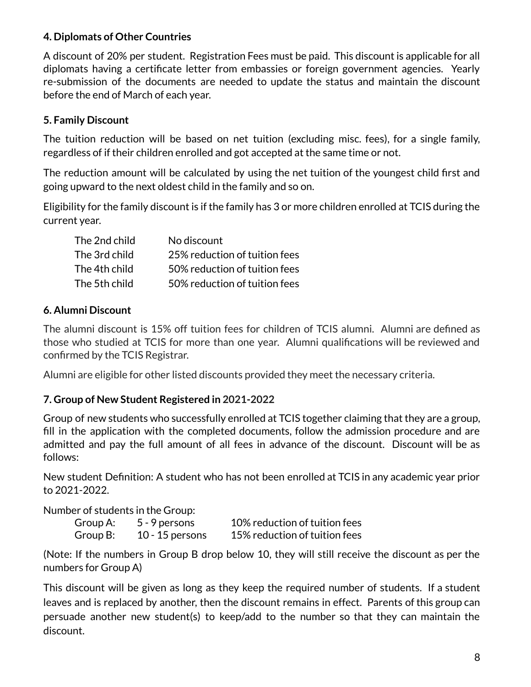#### **4. Diplomats of Other Countries**

A discount of 20% per student. Registration Fees must be paid. This discount is applicable for all diplomats having a certificate letter from embassies or foreign government agencies. Yearly re-submission of the documents are needed to update the status and maintain the discount before the end of March of each year.

# **5. Family Discount**

The tuition reduction will be based on net tuition (excluding misc. fees), for a single family, regardless of if their children enrolled and got accepted at the same time or not.

The reduction amount will be calculated by using the net tuition of the youngest child first and going upward to the next oldest child in the family and so on.

Eligibility for the family discount is if the family has 3 or more children enrolled at TCIS during the current year.

| The 2nd child | No discount                   |
|---------------|-------------------------------|
| The 3rd child | 25% reduction of tuition fees |
| The 4th child | 50% reduction of tuition fees |
| The 5th child | 50% reduction of tuition fees |

#### **6. Alumni Discount**

The alumni discount is 15% off tuition fees for children of TCIS alumni. Alumni are defined as those who studied at TCIS for more than one year. Alumni qualifications will be reviewed and confirmed by the TCIS Registrar.

Alumni are eligible for other listed discounts provided they meet the necessary criteria.

#### **7. Group of New Student Registered in 2021-2022**

Group of new students who successfully enrolled at TCIS together claiming that they are a group, fill in the application with the completed documents, follow the admission procedure and are admitted and pay the full amount of all fees in advance of the discount. Discount will be as follows:

New student Definition: A student who has not been enrolled at TCIS in any academic year prior to 2021-2022.

Number of students in the Group:

| Group A: | 5 - 9 persons     | 10% reduction of tuition fees |
|----------|-------------------|-------------------------------|
| Group B: | $10 - 15$ persons | 15% reduction of tuition fees |

(Note: If the numbers in Group B drop below 10, they will still receive the discount as per the numbers for Group A)

This discount will be given as long as they keep the required number of students. If a student leaves and is replaced by another, then the discount remains in effect. Parents of this group can persuade another new student(s) to keep/add to the number so that they can maintain the discount.